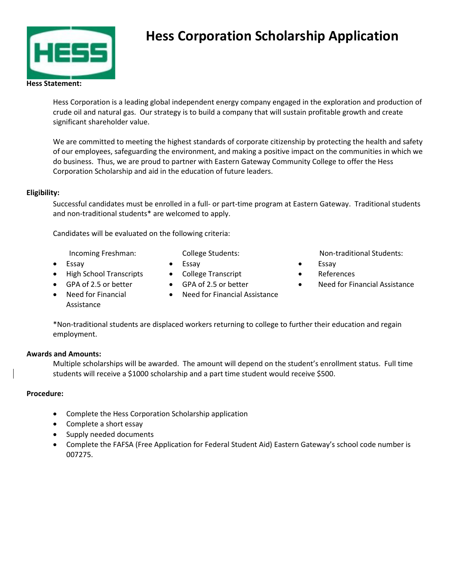

# **Hess Corporation Scholarship Application**

Hess Corporation is a leading global independent energy company engaged in the exploration and production of crude oil and natural gas. Our strategy is to build a company that will sustain profitable growth and create significant shareholder value.

We are committed to meeting the highest standards of corporate citizenship by protecting the health and safety of our employees, safeguarding the environment, and making a positive impact on the communities in which we do business. Thus, we are proud to partner with Eastern Gateway Community College to offer the Hess Corporation Scholarship and aid in the education of future leaders.

### **Eligibility:**

Successful candidates must be enrolled in a full- or part-time program at Eastern Gateway. Traditional students and non-traditional students\* are welcomed to apply.

Candidates will be evaluated on the following criteria:

Incoming Freshman:

College Students:

- 
- **Essay**
- High School Transcripts
- GPA of 2.5 or better
- GPA of 2.5 or better

• College Transcript

- Non-traditional Students:
- **Essay**
- References
- Need for Financial Assistance
- Need for Financial Assistance
- Need for Financial Assistance

\*Non-traditional students are displaced workers returning to college to further their education and regain employment.

# **Awards and Amounts:**

• Essay

Multiple scholarships will be awarded. The amount will depend on the student's enrollment status. Full time students will receive a \$1000 scholarship and a part time student would receive \$500.

# **Procedure:**

- Complete the Hess Corporation Scholarship application
- Complete a short essay
- Supply needed documents
- Complete the FAFSA (Free Application for Federal Student Aid) Eastern Gateway's school code number is 007275.